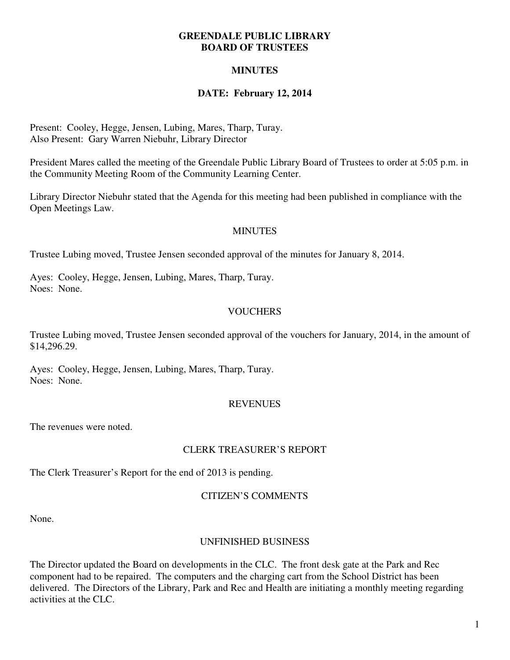#### **GREENDALE PUBLIC LIBRARY BOARD OF TRUSTEES**

# **MINUTES**

# **DATE: February 12, 2014**

Present: Cooley, Hegge, Jensen, Lubing, Mares, Tharp, Turay. Also Present: Gary Warren Niebuhr, Library Director

President Mares called the meeting of the Greendale Public Library Board of Trustees to order at 5:05 p.m. in the Community Meeting Room of the Community Learning Center.

Library Director Niebuhr stated that the Agenda for this meeting had been published in compliance with the Open Meetings Law.

#### **MINUTES**

Trustee Lubing moved, Trustee Jensen seconded approval of the minutes for January 8, 2014.

Ayes: Cooley, Hegge, Jensen, Lubing, Mares, Tharp, Turay. Noes: None.

# **VOUCHERS**

Trustee Lubing moved, Trustee Jensen seconded approval of the vouchers for January, 2014, in the amount of \$14,296.29.

Ayes: Cooley, Hegge, Jensen, Lubing, Mares, Tharp, Turay. Noes: None.

# **REVENUES**

The revenues were noted.

#### CLERK TREASURER'S REPORT

The Clerk Treasurer's Report for the end of 2013 is pending.

#### CITIZEN'S COMMENTS

None.

# UNFINISHED BUSINESS

The Director updated the Board on developments in the CLC. The front desk gate at the Park and Rec component had to be repaired. The computers and the charging cart from the School District has been delivered. The Directors of the Library, Park and Rec and Health are initiating a monthly meeting regarding activities at the CLC.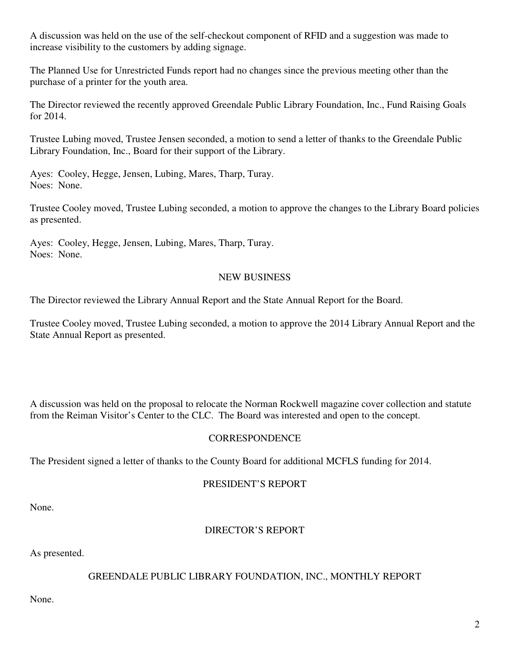A discussion was held on the use of the self-checkout component of RFID and a suggestion was made to increase visibility to the customers by adding signage.

The Planned Use for Unrestricted Funds report had no changes since the previous meeting other than the purchase of a printer for the youth area.

The Director reviewed the recently approved Greendale Public Library Foundation, Inc., Fund Raising Goals for 2014.

Trustee Lubing moved, Trustee Jensen seconded, a motion to send a letter of thanks to the Greendale Public Library Foundation, Inc., Board for their support of the Library.

Ayes: Cooley, Hegge, Jensen, Lubing, Mares, Tharp, Turay. Noes: None.

Trustee Cooley moved, Trustee Lubing seconded, a motion to approve the changes to the Library Board policies as presented.

Ayes: Cooley, Hegge, Jensen, Lubing, Mares, Tharp, Turay. Noes: None.

# NEW BUSINESS

The Director reviewed the Library Annual Report and the State Annual Report for the Board.

Trustee Cooley moved, Trustee Lubing seconded, a motion to approve the 2014 Library Annual Report and the State Annual Report as presented.

A discussion was held on the proposal to relocate the Norman Rockwell magazine cover collection and statute from the Reiman Visitor's Center to the CLC. The Board was interested and open to the concept.

# **CORRESPONDENCE**

The President signed a letter of thanks to the County Board for additional MCFLS funding for 2014.

#### PRESIDENT'S REPORT

None.

# DIRECTOR'S REPORT

As presented.

# GREENDALE PUBLIC LIBRARY FOUNDATION, INC., MONTHLY REPORT

None.